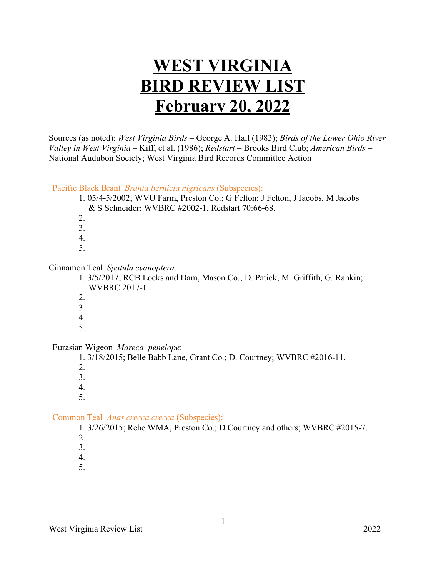# **WEST VIRGINIA BIRD REVIEW LIST February 20, 2022**

Sources (as noted): *West Virginia Birds* – George A. Hall (1983); *Birds of the Lower Ohio River Valley in West Virginia* – Kiff, et al. (1986); *Redstart* – Brooks Bird Club; *American Birds* – National Audubon Society; West Virginia Bird Records Committee Action

Pacific Black Brant *Branta bernicla nigricans* (Subspecies):

- 1. 05/4-5/2002; WVU Farm, Preston Co.; G Felton; J Felton, J Jacobs, M Jacobs & S Schneider; WVBRC #2002-1. Redstart 70:66-68.
- 2.
- 3.
- 4.
- 5.

#### Cinnamon Teal *Spatula cyanoptera:*

1. 3/5/2017; RCB Locks and Dam, Mason Co.; D. Patick, M. Griffith, G. Rankin; WVBRC 2017-1.

- 2.
- 3. 4.
- 5.

Eurasian Wigeon *Mareca penelope*:

1. 3/18/2015; Belle Babb Lane, Grant Co.; D. Courtney; WVBRC #2016-11.

- 2.
- 3.
- 4.
- 5.

# Common Teal *Anas crecca crecca* (Subspecies):

1. 3/26/2015; Rehe WMA, Preston Co.; D Courtney and others; WVBRC #2015-7.

- 2.
- 3.
- 4.
- 5.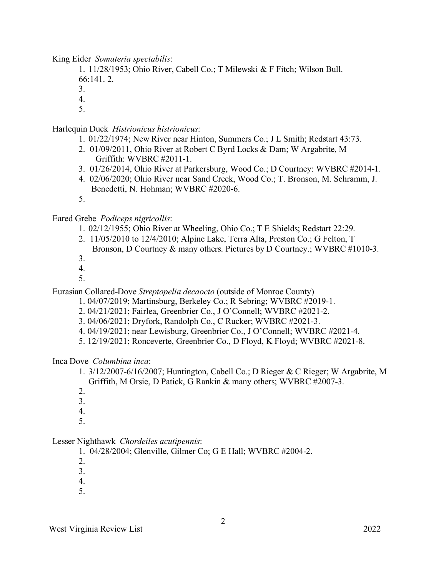King Eider *Somateria spectabilis*:

1. 11/28/1953; Ohio River, Cabell Co.; T Milewski & F Fitch; Wilson Bull. 66:141. 2.

3.

4.

5.

#### Harlequin Duck *Histrionicus histrionicus*:

- 1. 01/22/1974; New River near Hinton, Summers Co.; J L Smith; Redstart 43:73.
- 2. 01/09/2011, Ohio River at Robert C Byrd Locks & Dam; W Argabrite, M Griffith: WVBRC #2011-1.
- 3. 01/26/2014, Ohio River at Parkersburg, Wood Co.; D Courtney: WVBRC #2014-1.
- 4. 02/06/2020; Ohio River near Sand Creek, Wood Co.; T. Bronson, M. Schramm, J. Benedetti, N. Hohman; WVBRC #2020-6.
- 5.

#### Eared Grebe *Podiceps nigricollis*:

- 1. 02/12/1955; Ohio River at Wheeling, Ohio Co.; T E Shields; Redstart 22:29.
- 2. 11/05/2010 to 12/4/2010; Alpine Lake, Terra Alta, Preston Co.; G Felton, T Bronson, D Courtney & many others. Pictures by D Courtney.; WVBRC #1010-3.
- 3.
- 4.
- 5.

Eurasian Collared-Dove *Streptopelia decaocto* (outside of Monroe County)

- 1. 04/07/2019; Martinsburg, Berkeley Co.; R Sebring; WVBRC #2019-1.
- 2. 04/21/2021; Fairlea, Greenbrier Co., J O'Connell; WVBRC #2021-2.
- 3. 04/06/2021; Dryfork, Randolph Co., C Rucker; WVBRC #2021-3.
- 4. 04/19/2021; near Lewisburg, Greenbrier Co., J O'Connell; WVBRC #2021-4.
- 5. 12/19/2021; Ronceverte, Greenbrier Co., D Floyd, K Floyd; WVBRC #2021-8.

#### Inca Dove *Columbina inca*:

- 1. 3/12/2007-6/16/2007; Huntington, Cabell Co.; D Rieger & C Rieger; W Argabrite, M Griffith, M Orsie, D Patick, G Rankin & many others; WVBRC #2007-3.
- 2.
- 3.
- 4.
- 5.

#### Lesser Nighthawk *Chordeiles acutipennis*:

- 1. 04/28/2004; Glenville, Gilmer Co; G E Hall; WVBRC #2004-2.
- 2.
- 3.
- 4.
- 5.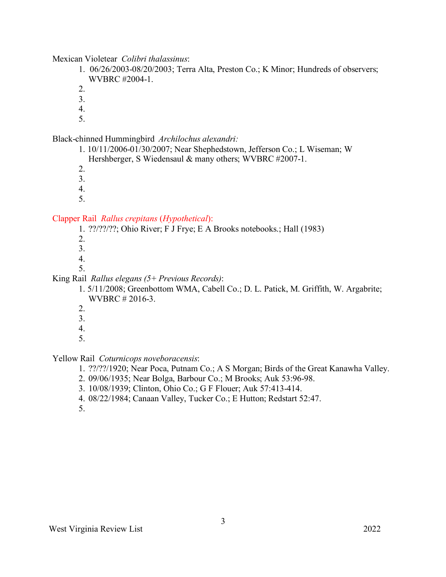Mexican Violetear *Colibri thalassinus*:

1. 06/26/2003-08/20/2003; Terra Alta, Preston Co.; K Minor; Hundreds of observers; WVBRC #2004-1.

2.

3.

4.

5.

Black-chinned Hummingbird *Archilochus alexandri:*

1. 10/11/2006-01/30/2007; Near Shephedstown, Jefferson Co.; L Wiseman; W Hershberger, S Wiedensaul & many others; WVBRC #2007-1.

2.

3.

4.

5.

#### Clapper Rail *Rallus crepitans* (*Hypothetical*):

1. ??/??/??; Ohio River; F J Frye; E A Brooks notebooks.; Hall (1983)

- 2.
- 3.
- 4.
- 5.

#### King Rail *Rallus elegans (5+ Previous Records)*:

1. 5/11/2008; Greenbottom WMA, Cabell Co.; D. L. Patick, M. Griffith, W. Argabrite; WVBRC # 2016-3.

- 2.
- 3.
- 4.
- 5.

#### Yellow Rail *Coturnicops noveboracensis*:

- 1. ??/??/1920; Near Poca, Putnam Co.; A S Morgan; Birds of the Great Kanawha Valley.
- 2. 09/06/1935; Near Bolga, Barbour Co.; M Brooks; Auk 53:96-98.
- 3. 10/08/1939; Clinton, Ohio Co.; G F Flouer; Auk 57:413-414.
- 4. 08/22/1984; Canaan Valley, Tucker Co.; E Hutton; Redstart 52:47.

5.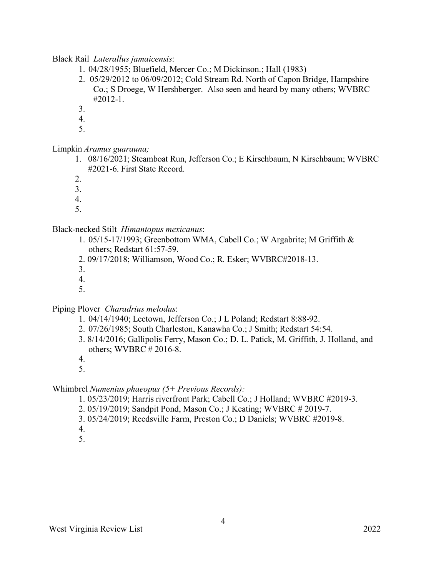Black Rail *Laterallus jamaicensis*:

- 1. 04/28/1955; Bluefield, Mercer Co.; M Dickinson.; Hall (1983)
- 2. 05/29/2012 to 06/09/2012; Cold Stream Rd. North of Capon Bridge, Hampshire Co.; S Droege, W Hershberger. Also seen and heard by many others; WVBRC #2012-1.
- 3.
- 4.
- 5.

Limpkin *Aramus guarauna;*

- 1. 08/16/2021; Steamboat Run, Jefferson Co.; E Kirschbaum, N Kirschbaum; WVBRC #2021-6. First State Record.
- 2.
- 3.
- 4.
- 5.

Black-necked Stilt *Himantopus mexicanus*:

- 1. 05/15-17/1993; Greenbottom WMA, Cabell Co.; W Argabrite; M Griffith & others; Redstart 61:57-59.
- 2. 09/17/2018; Williamson, Wood Co.; R. Esker; WVBRC#2018-13.
- 3.
- 4.
- 5.

Piping Plover *Charadrius melodus*:

- 1. 04/14/1940; Leetown, Jefferson Co.; J L Poland; Redstart 8:88-92.
- 2. 07/26/1985; South Charleston, Kanawha Co.; J Smith; Redstart 54:54.
- 3. 8/14/2016; Gallipolis Ferry, Mason Co.; D. L. Patick, M. Griffith, J. Holland, and others; WVBRC # 2016-8.
- 4.
- 5.

Whimbrel *Numenius phaeopus (5+ Previous Records):*

- 1. 05/23/2019; Harris riverfront Park; Cabell Co.; J Holland; WVBRC #2019-3.
- 2. 05/19/2019; Sandpit Pond, Mason Co.; J Keating; WVBRC # 2019-7.
- 3. 05/24/2019; Reedsville Farm, Preston Co.; D Daniels; WVBRC #2019-8.
- 4.
- 5.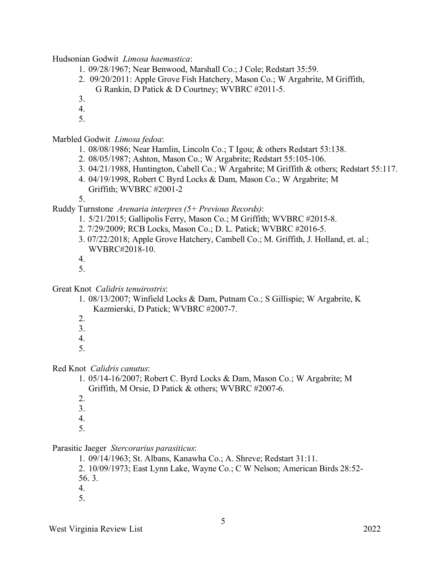Hudsonian Godwit *Limosa haemastica*:

- 1. 09/28/1967; Near Benwood, Marshall Co.; J Cole; Redstart 35:59.
- 2. 09/20/2011: Apple Grove Fish Hatchery, Mason Co.; W Argabrite, M Griffith,
- G Rankin, D Patick & D Courtney; WVBRC #2011-5.
- 3.
- 4.
- 5.

Marbled Godwit *Limosa fedoa*:

- 1. 08/08/1986; Near Hamlin, Lincoln Co.; T Igou; & others Redstart 53:138.
- 2. 08/05/1987; Ashton, Mason Co.; W Argabrite; Redstart 55:105-106.
- 3. 04/21/1988, Huntington, Cabell Co.; W Argabrite; M Griffith & others; Redstart 55:117.
- 4. 04/19/1998, Robert C Byrd Locks & Dam, Mason Co.; W Argabrite; M Griffith; WVBRC #2001-2

5.

Ruddy Turnstone *Arenaria interpres (5+ Previous Records)*:

- 1. 5/21/2015; Gallipolis Ferry, Mason Co.; M Griffith; WVBRC #2015-8.
- 2. 7/29/2009; RCB Locks, Mason Co.; D. L. Patick; WVBRC #2016-5.
- 3. 07/22/2018; Apple Grove Hatchery, Cambell Co.; M. Griffith, J. Holland, et. al.; WVBRC#2018-10.

4.

- 5.
- Great Knot *Calidris tenuirostris*:
	- 1. 08/13/2007; Winfield Locks & Dam, Putnam Co.; S Gillispie; W Argabrite, K Kazmierski, D Patick; WVBRC #2007-7.
	- 2.
	- 3.
	- 4.
	- 5.

#### Red Knot *Calidris canutus*:

- 1. 05/14-16/2007; Robert C. Byrd Locks & Dam, Mason Co.; W Argabrite; M Griffith, M Orsie, D Patick & others; WVBRC #2007-6.
- $2<sup>2</sup>$
- 3.
- 4.
- 5.

#### Parasitic Jaeger *Stercorarius parasiticus*:

1. 09/14/1963; St. Albans, Kanawha Co.; A. Shreve; Redstart 31:11.

2. 10/09/1973; East Lynn Lake, Wayne Co.; C W Nelson; American Birds 28:52- 56. 3.

- 4.
- 5.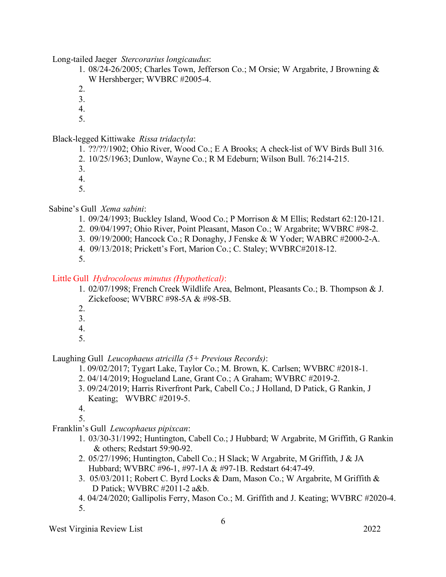Long-tailed Jaeger *Stercorarius longicaudus*:

1. 08/24-26/2005; Charles Town, Jefferson Co.; M Orsie; W Argabrite, J Browning & W Hershberger; WVBRC #2005-4.

2.

3.

4.

5.

Black-legged Kittiwake *Rissa tridactyla*:

1. ??/??/1902; Ohio River, Wood Co.; E A Brooks; A check-list of WV Birds Bull 316.

2. 10/25/1963; Dunlow, Wayne Co.; R M Edeburn; Wilson Bull. 76:214-215.

3.

4.

5.

Sabine's Gull *Xema sabini*:

- 1. 09/24/1993; Buckley Island, Wood Co.; P Morrison & M Ellis; Redstart 62:120-121.
- 2. 09/04/1997; Ohio River, Point Pleasant, Mason Co.; W Argabrite; WVBRC #98-2.
- 3. 09/19/2000; Hancock Co.; R Donaghy, J Fenske & W Yoder; WABRC #2000-2-A.
- 4. 09/13/2018; Prickett's Fort, Marion Co.; C. Staley; WVBRC#2018-12.
- 5.

# Little Gull *Hydrocoloeus minutus (Hypothetical)*:

- 1. 02/07/1998; French Creek Wildlife Area, Belmont, Pleasants Co.; B. Thompson & J. Zickefoose; WVBRC #98-5A & #98-5B.
- 2.
- 3.
- 4.
- 5.

Laughing Gull *Leucophaeus atricilla (5+ Previous Records)*:

- 1. 09/02/2017; Tygart Lake, Taylor Co.; M. Brown, K. Carlsen; WVBRC #2018-1.
- 2. 04/14/2019; Hogueland Lane, Grant Co.; A Graham; WVBRC #2019-2.
- 3. 09/24/2019; Harris Riverfront Park, Cabell Co.; J Holland, D Patick, G Rankin, J Keating; WVBRC #2019-5.
- 4.

5.

- Franklin's Gull *Leucophaeus pipixcan*:
	- 1. 03/30-31/1992; Huntington, Cabell Co.; J Hubbard; W Argabrite, M Griffith, G Rankin & others; Redstart 59:90-92.
	- 2. 05/27/1996; Huntington, Cabell Co.; H Slack; W Argabrite, M Griffith, J & JA Hubbard; WVBRC #96-1, #97-1A & #97-1B. Redstart 64:47-49.
	- 3. 05/03/2011; Robert C. Byrd Locks & Dam, Mason Co.; W Argabrite, M Griffith & D Patick; WVBRC #2011-2 a&b.
	- 4. 04/24/2020; Gallipolis Ferry, Mason Co.; M. Griffith and J. Keating; WVBRC #2020-4. 5.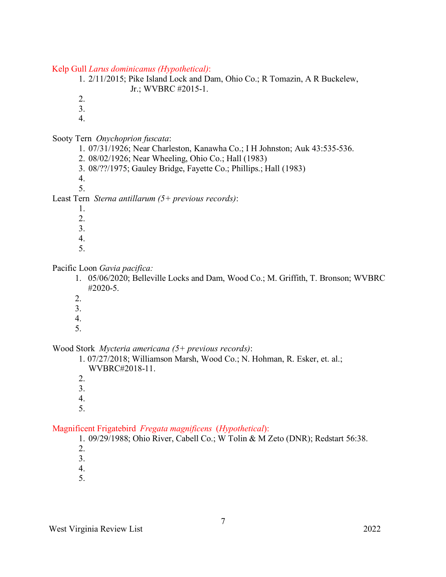Kelp Gull *Larus dominicanus (Hypothetical)*:

1. 2/11/2015; Pike Island Lock and Dam, Ohio Co.; R Tomazin, A R Buckelew, Jr.; WVBRC #2015-1.

2.

3.

4.

Sooty Tern *Onychoprion fuscata*:

1. 07/31/1926; Near Charleston, Kanawha Co.; I H Johnston; Auk 43:535-536.

- 2. 08/02/1926; Near Wheeling, Ohio Co.; Hall (1983)
- 3. 08/??/1975; Gauley Bridge, Fayette Co.; Phillips.; Hall (1983)

4. 5.

Least Tern *Sterna antillarum (5+ previous records)*:

- 1.
- 2.
- 3.
- 4.
- 5.

Pacific Loon *Gavia pacifica:*

- 1. 05/06/2020; Belleville Locks and Dam, Wood Co.; M. Griffith, T. Bronson; WVBRC #2020-5.
- $2<sup>1</sup>$
- 3.
- 4.
- 5.

Wood Stork *Mycteria americana (5+ previous records)*:

1. 07/27/2018; Williamson Marsh, Wood Co.; N. Hohman, R. Esker, et. al.; WVBRC#2018-11.

- 2.
- 3.
- 4.
- 5.

#### Magnificent Frigatebird *Fregata magnificens* (*Hypothetical*):

1. 09/29/1988; Ohio River, Cabell Co.; W Tolin & M Zeto (DNR); Redstart 56:38.

- 2.
- 3.
- 4.
- 5.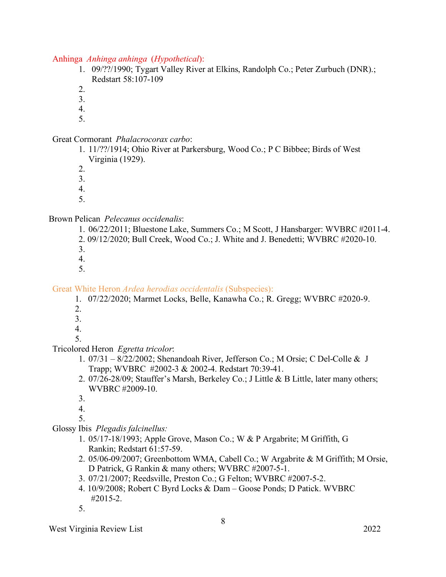Anhinga *Anhinga anhinga* (*Hypothetical*):

- 1. 09/??/1990; Tygart Valley River at Elkins, Randolph Co.; Peter Zurbuch (DNR).; Redstart 58:107-109
- 2.
- 3.
- 4.
- 5.

Great Cormorant *Phalacrocorax carbo*:

- 1. 11/??/1914; Ohio River at Parkersburg, Wood Co.; P C Bibbee; Birds of West Virginia (1929).
- 2.

3.

- 4.
- 5.

# Brown Pelican *Pelecanus occidenalis*:

- 1. 06/22/2011; Bluestone Lake, Summers Co.; M Scott, J Hansbarger: WVBRC #2011-4. 2. 09/12/2020; Bull Creek, Wood Co.; J. White and J. Benedetti; WVBRC #2020-10. 3.
- 4.
- 5.

#### Great White Heron *Ardea herodias occidentalis* (Subspecies):

- 1. 07/22/2020; Marmet Locks, Belle, Kanawha Co.; R. Gregg; WVBRC #2020-9.
- 2.
- 3.
- 4.
- 5.

# Tricolored Heron *Egretta tricolor*:

- 1. 07/31 8/22/2002; Shenandoah River, Jefferson Co.; M Orsie; C Del-Colle & J Trapp; WVBRC #2002-3 & 2002-4. Redstart 70:39-41.
- 2. 07/26-28/09; Stauffer's Marsh, Berkeley Co.; J Little & B Little, later many others; WVBRC #2009-10.
- 3.
- 4.
- 5.
- Glossy Ibis *Plegadis falcinellus:*
	- 1. 05/17-18/1993; Apple Grove, Mason Co.; W & P Argabrite; M Griffith, G Rankin; Redstart 61:57-59.
	- 2. 05/06-09/2007; Greenbottom WMA, Cabell Co.; W Argabrite & M Griffith; M Orsie, D Patrick, G Rankin & many others; WVBRC #2007-5-1.
	- 3. 07/21/2007; Reedsville, Preston Co.; G Felton; WVBRC #2007-5-2.
	- 4. 10/9/2008; Robert C Byrd Locks & Dam Goose Ponds; D Patick. WVBRC #2015-2.
	- 5.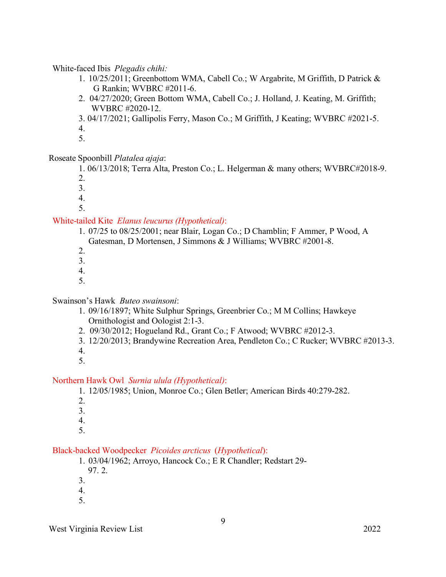White-faced Ibis *Plegadis chihi:*

- 1. 10/25/2011; Greenbottom WMA, Cabell Co.; W Argabrite, M Griffith, D Patrick & G Rankin; WVBRC #2011-6.
- 2. 04/27/2020; Green Bottom WMA, Cabell Co.; J. Holland, J. Keating, M. Griffith; WVBRC #2020-12.
- 3. 04/17/2021; Gallipolis Ferry, Mason Co.; M Griffith, J Keating; WVBRC #2021-5. 4.
- 5.

# Roseate Spoonbill *Platalea ajaja*:

1. 06/13/2018; Terra Alta, Preston Co.; L. Helgerman & many others; WVBRC#2018-9.

- 2.
- 3.
- 4. 5.

White-tailed Kite *Elanus leucurus (Hypothetical)*: 1. 07/25 to 08/25/2001; near Blair, Logan Co.; D Chamblin; F Ammer, P Wood, A

Gatesman, D Mortensen, J Simmons & J Williams; WVBRC #2001-8.

- 2.
- 3.
- 4.
- 5.

# Swainson's Hawk *Buteo swainsoni*:

- 1. 09/16/1897; White Sulphur Springs, Greenbrier Co.; M M Collins; Hawkeye Ornithologist and Oologist 2:1-3.
- 2. 09/30/2012; Hogueland Rd., Grant Co.; F Atwood; WVBRC #2012-3.
- 3. 12/20/2013; Brandywine Recreation Area, Pendleton Co.; C Rucker; WVBRC #2013-3.
- 4.
- 5.

# Northern Hawk Owl *Surnia ulula (Hypothetical)*:

1. 12/05/1985; Union, Monroe Co.; Glen Betler; American Birds 40:279-282.

- 2.
- 3.
- 4.
- 5.

# Black-backed Woodpecker *Picoides arcticus* (*Hypothetical*):

- 1. 03/04/1962; Arroyo, Hancock Co.; E R Chandler; Redstart 29-
	- 97. 2.
- 3.
- 4.
- 5.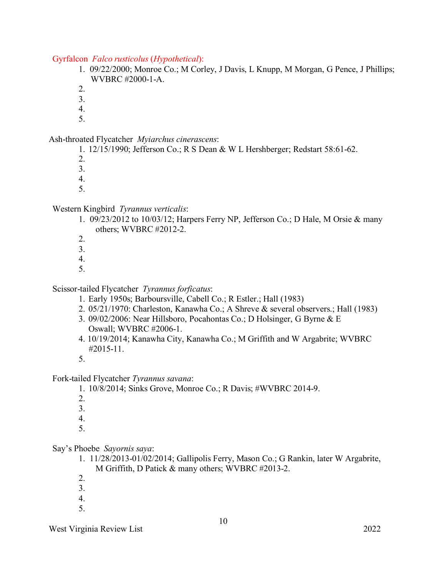#### Gyrfalcon *Falco rusticolus* (*Hypothetical*):

- 1. 09/22/2000; Monroe Co.; M Corley, J Davis, L Knupp, M Morgan, G Pence, J Phillips; WVBRC #2000-1-A.
- 2.
- 3.
- 4.
- 5.

#### Ash-throated Flycatcher *Myiarchus cinerascens*:

- 1. 12/15/1990; Jefferson Co.; R S Dean & W L Hershberger; Redstart 58:61-62.
- 2.
- 3.
- 4.
- 5.

# Western Kingbird *Tyrannus verticalis*:

- 1. 09/23/2012 to 10/03/12; Harpers Ferry NP, Jefferson Co.; D Hale, M Orsie & many others; WVBRC #2012-2.
- 2.
- 3.
- 4.
- 5.

# Scissor-tailed Flycatcher *Tyrannus forficatus*:

- 1. Early 1950s; Barboursville, Cabell Co.; R Estler.; Hall (1983)
- 2. 05/21/1970: Charleston, Kanawha Co.; A Shreve & several observers.; Hall (1983)
- 3. 09/02/2006: Near Hillsboro, Pocahontas Co.; D Holsinger, G Byrne & E Oswall; WVBRC #2006-1.
- 4. 10/19/2014; Kanawha City, Kanawha Co.; M Griffith and W Argabrite; WVBRC #2015-11.
- 5.

# Fork-tailed Flycatcher *Tyrannus savana*:

- 1. 10/8/2014; Sinks Grove, Monroe Co.; R Davis; #WVBRC 2014-9.
- 2.
- 3.
- 4.
- 5.

# Say's Phoebe *Sayornis saya*:

- 1. 11/28/2013-01/02/2014; Gallipolis Ferry, Mason Co.; G Rankin, later W Argabrite, M Griffith, D Patick & many others; WVBRC #2013-2.
- 2.
- 3.
- 4.
- 5.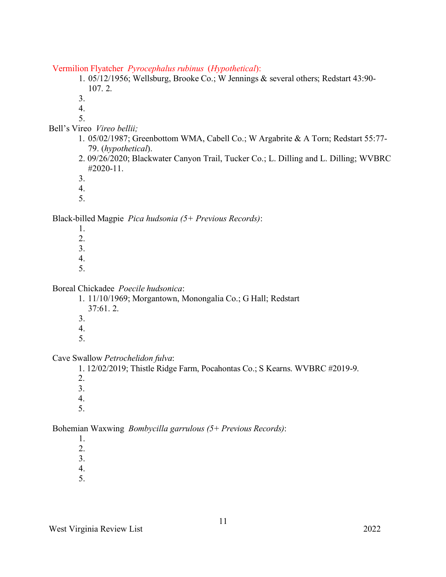Vermilion Flyatcher *Pyrocephalus rubinus* (*Hypothetical*):

1. 05/12/1956; Wellsburg, Brooke Co.; W Jennings & several others; Redstart 43:90- 107. 2.

3.

4.

- 5. Bell's Vireo *Vireo bellii;*
	- 1. 05/02/1987; Greenbottom WMA, Cabell Co.; W Argabrite & A Torn; Redstart 55:77- 79. (*hypothetical*).
	- 2. 09/26/2020; Blackwater Canyon Trail, Tucker Co.; L. Dilling and L. Dilling; WVBRC #2020-11.

3.

- 4.
- 5.

Black-billed Magpie *Pica hudsonia (5+ Previous Records)*:

- 1.
- 2.
- 3.
- 4.
- 5.

Boreal Chickadee *Poecile hudsonica*:

- 1. 11/10/1969; Morgantown, Monongalia Co.; G Hall; Redstart 37:61. 2.
- 3.
- 4.
- 5.

Cave Swallow *Petrochelidon fulva*:

1. 12/02/2019; Thistle Ridge Farm, Pocahontas Co.; S Kearns. WVBRC #2019-9.

- 2.
- 3.
- 4.
- 5.

Bohemian Waxwing *Bombycilla garrulous (5+ Previous Records)*:

- 1.
- 2.
- 3.
- 4.
- 5.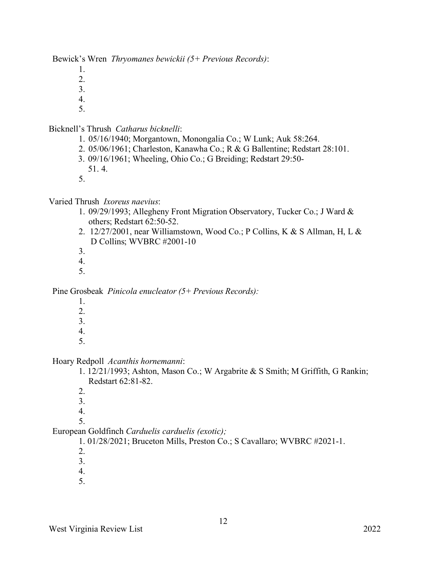Bewick's Wren *Thryomanes bewickii (5+ Previous Records)*:

- 1.
- 2.
- 3.
- 4. 5.

# Bicknell's Thrush *Catharus bicknelli*:

- 1. 05/16/1940; Morgantown, Monongalia Co.; W Lunk; Auk 58:264.
- 2. 05/06/1961; Charleston, Kanawha Co.; R & G Ballentine; Redstart 28:101.
- 3. 09/16/1961; Wheeling, Ohio Co.; G Breiding; Redstart 29:50-
- 51. 4.
- 5.

# Varied Thrush *Ixoreus naevius*:

- 1. 09/29/1993; Allegheny Front Migration Observatory, Tucker Co.; J Ward & others; Redstart 62:50-52.
- 2. 12/27/2001, near Williamstown, Wood Co.; P Collins, K & S Allman, H, L & D Collins; WVBRC #2001-10
- 3.
- 4.
- 5.

Pine Grosbeak *Pinicola enucleator (5+ Previous Records):*

- 1.
- 2.
- 3.
- 4.
- 5.

Hoary Redpoll *Acanthis hornemanni*:

- 1. 12/21/1993; Ashton, Mason Co.; W Argabrite & S Smith; M Griffith, G Rankin; Redstart 62:81-82.
- 2.
- 3.
- 4.
- 5.

European Goldfinch *Carduelis carduelis (exotic);*

1. 01/28/2021; Bruceton Mills, Preston Co.; S Cavallaro; WVBRC #2021-1.

- 2.
- 3.
- 4.
- 5.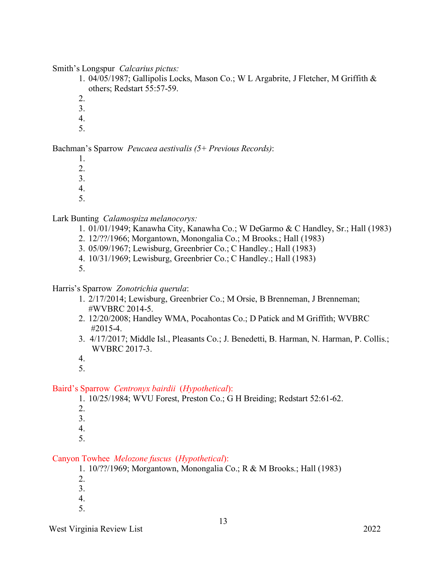Smith's Longspur *Calcarius pictus:*

- 1. 04/05/1987; Gallipolis Locks, Mason Co.; W L Argabrite, J Fletcher, M Griffith & others; Redstart 55:57-59.
- 2.
- 3.
- 4.
- 5.

Bachman's Sparrow *Peucaea aestivalis (5+ Previous Records)*:

- 1.
- 2.
- 3.
- 4.
- 5.

Lark Bunting *Calamospiza melanocorys:*

- 1. 01/01/1949; Kanawha City, Kanawha Co.; W DeGarmo & C Handley, Sr.; Hall (1983)
- 2. 12/??/1966; Morgantown, Monongalia Co.; M Brooks.; Hall (1983)
- 3. 05/09/1967; Lewisburg, Greenbrier Co.; C Handley.; Hall (1983)
- 4. 10/31/1969; Lewisburg, Greenbrier Co.; C Handley.; Hall (1983)
- 5.

Harris's Sparrow *Zonotrichia querula*:

- 1. 2/17/2014; Lewisburg, Greenbrier Co.; M Orsie, B Brenneman, J Brenneman; #WVBRC 2014-5.
- 2. 12/20/2008; Handley WMA, Pocahontas Co.; D Patick and M Griffith; WVBRC #2015-4.
- 3. 4/17/2017; Middle Isl., Pleasants Co.; J. Benedetti, B. Harman, N. Harman, P. Collis.; WVBRC 2017-3.
- 4.
- 5.

# Baird's Sparrow *Centronyx bairdii* (*Hypothetical*):

1. 10/25/1984; WVU Forest, Preston Co.; G H Breiding; Redstart 52:61-62.

- 2.
- 3.
- 4.
- 5.

# Canyon Towhee *Melozone fuscus* (*Hypothetical*):

1. 10/??/1969; Morgantown, Monongalia Co.; R & M Brooks.; Hall (1983)

- 2.
- 3.
- 4.
- 5.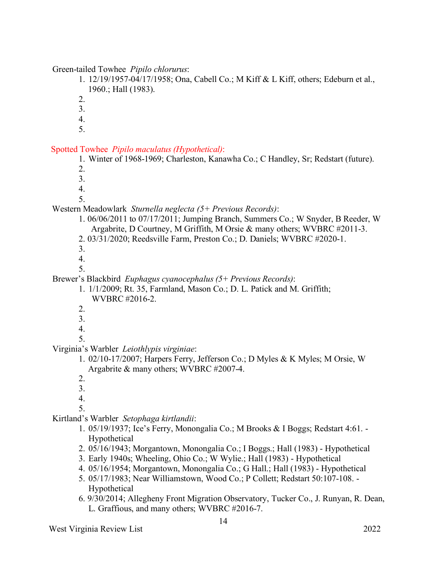Green-tailed Towhee *Pipilo chlorurus*:

1. 12/19/1957-04/17/1958; Ona, Cabell Co.; M Kiff & L Kiff, others; Edeburn et al., 1960.; Hall (1983).

- 2.
- 3.
- 4.
- 5.

Spotted Towhee *Pipilo maculatus (Hypothetical)*:

1. Winter of 1968-1969; Charleston, Kanawha Co.; C Handley, Sr; Redstart (future).

- 2.
- 3.
- 4.
- 5.

# Western Meadowlark *Sturnella neglecta (5+ Previous Records)*:

- 1. 06/06/2011 to 07/17/2011; Jumping Branch, Summers Co.; W Snyder, B Reeder, W Argabrite, D Courtney, M Griffith, M Orsie & many others; WVBRC #2011-3.
- 2. 03/31/2020; Reedsville Farm, Preston Co.; D. Daniels; WVBRC #2020-1.
- 3.
- 4.
- 5.

#### Brewer's Blackbird *Euphagus cyanocephalus (5+ Previous Records)*:

- 1. 1/1/2009; Rt. 35, Farmland, Mason Co.; D. L. Patick and M. Griffith; WVBRC #2016-2.
- 2.
- 3.
- 4.
- 5.

# Virginia's Warbler *Leiothlypis virginiae*:

- 1. 02/10-17/2007; Harpers Ferry, Jefferson Co.; D Myles & K Myles; M Orsie, W Argabrite & many others; WVBRC #2007-4.
- 2.
- 3.
- 4.
- 5.

# Kirtland's Warbler *Setophaga kirtlandii*:

- 1. 05/19/1937; Ice's Ferry, Monongalia Co.; M Brooks & I Boggs; Redstart 4:61. Hypothetical
- 2. 05/16/1943; Morgantown, Monongalia Co.; I Boggs.; Hall (1983) Hypothetical
- 3. Early 1940s; Wheeling, Ohio Co.; W Wylie.; Hall (1983) Hypothetical
- 4. 05/16/1954; Morgantown, Monongalia Co.; G Hall.; Hall (1983) Hypothetical
- 5. 05/17/1983; Near Williamstown, Wood Co.; P Collett; Redstart 50:107-108. Hypothetical
- 6. 9/30/2014; Allegheny Front Migration Observatory, Tucker Co., J. Runyan, R. Dean, L. Graffious, and many others; WVBRC #2016-7.